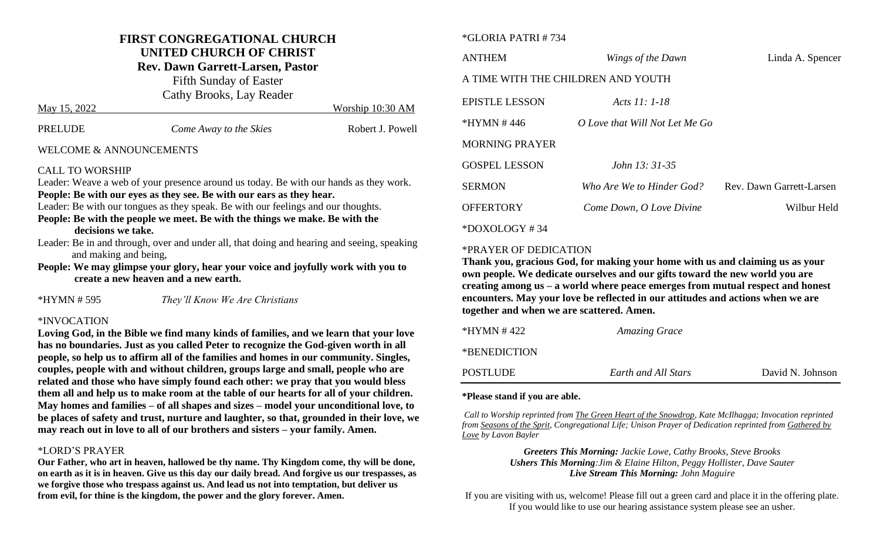## **FIRST CONGREGATIONAL CHURCH UNITED CHURCH OF CHRIST**

**Rev. Dawn Garrett-Larsen, Pastor**

Fifth Sunday of Easter Cathy Brooks, Lay Reader May 15, 2022 Worship 10:30 AM

| PRELUDE | Come Away to the Skies | Robert J. Powell |
|---------|------------------------|------------------|

#### WELCOME & ANNOUNCEMENTS

#### CALL TO WORSHIP

Leader: Weave a web of your presence around us today. Be with our hands as they work. **People: Be with our eyes as they see. Be with our ears as they hear.**

Leader: Be with our tongues as they speak. Be with our feelings and our thoughts.

**People: Be with the people we meet. Be with the things we make. Be with the decisions we take.**

Leader: Be in and through, over and under all, that doing and hearing and seeing, speaking and making and being,

**People: We may glimpse your glory, hear your voice and joyfully work with you to create a new heaven and a new earth.**

\*HYMN # 595 *They'll Know We Are Christians*

#### \*INVOCATION

**Loving God, in the Bible we find many kinds of families, and we learn that your love has no boundaries. Just as you called Peter to recognize the God-given worth in all people, so help us to affirm all of the families and homes in our community. Singles, couples, people with and without children, groups large and small, people who are related and those who have simply found each other: we pray that you would bless them all and help us to make room at the table of our hearts for all of your children. May homes and families – of all shapes and sizes – model your unconditional love, to be places of safety and trust, nurture and laughter, so that, grounded in their love, we may reach out in love to all of our brothers and sisters – your family. Amen.**

#### \*LORD'S PRAYER

**Our Father, who art in heaven, hallowed be thy name. Thy Kingdom come, thy will be done, on earth as it is in heaven. Give us this day our daily bread. And forgive us our trespasses, as we forgive those who trespass against us. And lead us not into temptation, but deliver us from evil, for thine is the kingdom, the power and the glory forever. Amen.**

#### \*GLORIA PATRI # 734

| <b>ANTHEM</b>                      | Wings of the Dawn              | Linda A. Spencer         |
|------------------------------------|--------------------------------|--------------------------|
| A TIME WITH THE CHILDREN AND YOUTH |                                |                          |
| EPISTLE LESSON                     | Acts $11:1-18$                 |                          |
| *HYMN #446                         | O Love that Will Not Let Me Go |                          |
| <b>MORNING PRAYER</b>              |                                |                          |
| <b>GOSPEL LESSON</b>               | <i>John 13: 31-35</i>          |                          |
| SERMON                             | Who Are We to Hinder God?      | Rev. Dawn Garrett-Larsen |
| <b>OFFERTORY</b>                   | Come Down, O Love Divine       | Wilbur Held              |
| *DOXOLOGY#34                       |                                |                          |

### \*PRAYER OF DEDICATION

**Thank you, gracious God, for making your home with us and claiming us as your own people. We dedicate ourselves and our gifts toward the new world you are creating among us – a world where peace emerges from mutual respect and honest encounters. May your love be reflected in our attitudes and actions when we are together and when we are scattered. Amen.** 

| *HYMN # 422  | <b>Amazing Grace</b> |                  |
|--------------|----------------------|------------------|
| *BENEDICTION |                      |                  |
| POSTLUDE     | Earth and All Stars  | David N. Johnson |

#### **\*Please stand if you are able.**

*Call to Worship reprinted from The Green Heart of the Snowdrop, Kate McIlhagga; Invocation reprinted from Seasons of the Sprit, Congregational Life; Unison Prayer of Dedication reprinted from Gathered by Love by Lavon Bayler*

> *Greeters This Morning: Jackie Lowe, Cathy Brooks, Steve Brooks Ushers This Morning:Jim & Elaine Hilton, Peggy Hollister, Dave Sauter Live Stream This Morning: John Maguire*

If you are visiting with us, welcome! Please fill out a green card and place it in the offering plate. If you would like to use our hearing assistance system please see an usher.